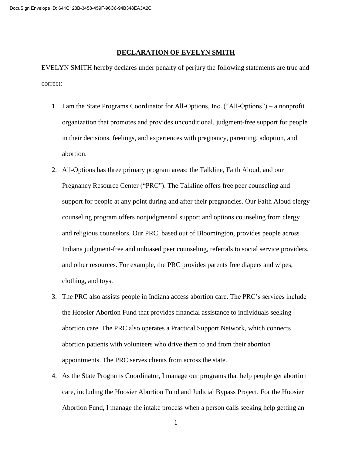## **DECLARATION OF EVELYN SMITH**

EVELYN SMITH hereby declares under penalty of perjury the following statements are true and correct:

- 1. I am the State Programs Coordinator for All-Options, Inc. ("All-Options") a nonprofit organization that promotes and provides unconditional, judgment-free support for people in their decisions, feelings, and experiences with pregnancy, parenting, adoption, and abortion.
- 2. All-Options has three primary program areas: the Talkline, Faith Aloud, and our Pregnancy Resource Center ("PRC"). The Talkline offers free peer counseling and support for people at any point during and after their pregnancies. Our Faith Aloud clergy counseling program offers nonjudgmental support and options counseling from clergy and religious counselors. Our PRC, based out of Bloomington, provides people across Indiana judgment-free and unbiased peer counseling, referrals to social service providers, and other resources. For example, the PRC provides parents free diapers and wipes, clothing, and toys.
- 3. The PRC also assists people in Indiana access abortion care. The PRC's services include the Hoosier Abortion Fund that provides financial assistance to individuals seeking abortion care. The PRC also operates a Practical Support Network, which connects abortion patients with volunteers who drive them to and from their abortion appointments. The PRC serves clients from across the state.
- 4. As the State Programs Coordinator, I manage our programs that help people get abortion care, including the Hoosier Abortion Fund and Judicial Bypass Project. For the Hoosier Abortion Fund, I manage the intake process when a person calls seeking help getting an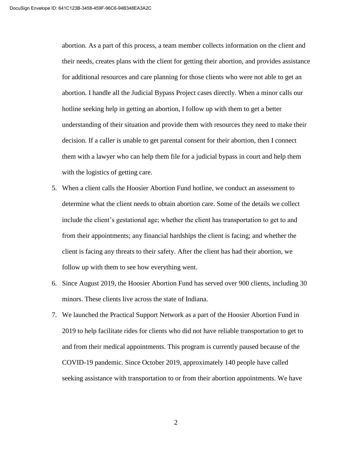abortion. As a part of this process, a team member collects information on the client and their needs, creates plans with the client for getting their abortion, and provides assistance for additional resources and care planning for those clients who were not able to get an abortion. I handle all the Judicial Bypass Project cases directly. When a minor calls our hotline seeking help in getting an abortion, I follow up with them to get a better understanding of their situation and provide them with resources they need to make their decision. If a caller is unable to get parental consent for their abortion, then I connect them with a lawyer who can help them file for a judicial bypass in court and help them with the logistics of getting care.

- 5. When a client calls the Hoosier Abortion Fund hotline, we conduct an assessment to determine what the client needs to obtain abortion care. Some of the details we collect include the client's gestational age; whether the client has transportation to get to and from their appointments; any financial hardships the client is facing; and whether the client is facing any threats to their safety. After the client has had their abortion, we follow up with them to see how everything went.
- 6. Since August 2019, the Hoosier Abortion Fund has served over 900 clients, including 30 minors. These clients live across the state of Indiana.
- 7. We launched the Practical Support Network as a part of the Hoosier Abortion Fund in 2019 to help facilitate rides for clients who did not have reliable transportation to get to and from their medical appointments. This program is currently paused because of the COVID-19 pandemic. Since October 2019, approximately 140 people have called seeking assistance with transportation to or from their abortion appointments. We have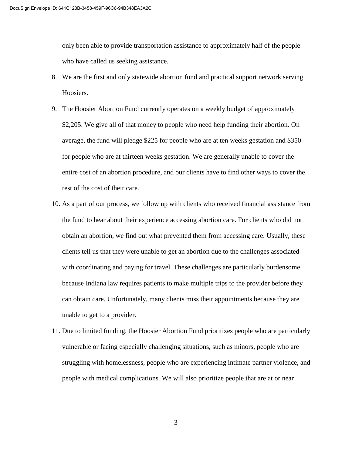only been able to provide transportation assistance to approximately half of the people who have called us seeking assistance.

- 8. We are the first and only statewide abortion fund and practical support network serving Hoosiers.
- 9. The Hoosier Abortion Fund currently operates on a weekly budget of approximately \$2,205. We give all of that money to people who need help funding their abortion. On average, the fund will pledge \$225 for people who are at ten weeks gestation and \$350 for people who are at thirteen weeks gestation. We are generally unable to cover the entire cost of an abortion procedure, and our clients have to find other ways to cover the rest of the cost of their care.
- 10. As a part of our process, we follow up with clients who received financial assistance from the fund to hear about their experience accessing abortion care. For clients who did not obtain an abortion, we find out what prevented them from accessing care. Usually, these clients tell us that they were unable to get an abortion due to the challenges associated with coordinating and paying for travel. These challenges are particularly burdensome because Indiana law requires patients to make multiple trips to the provider before they can obtain care. Unfortunately, many clients miss their appointments because they are unable to get to a provider.
- 11. Due to limited funding, the Hoosier Abortion Fund prioritizes people who are particularly vulnerable or facing especially challenging situations, such as minors, people who are struggling with homelessness, people who are experiencing intimate partner violence, and people with medical complications. We will also prioritize people that are at or near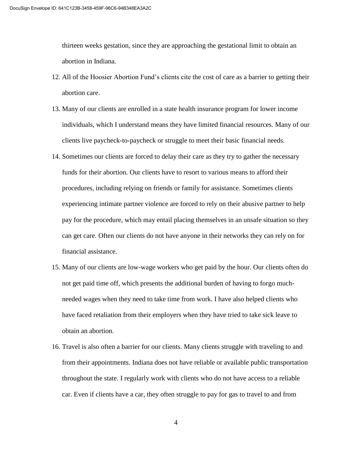thirteen weeks gestation, since they are approaching the gestational limit to obtain an abortion in Indiana.

- 12. All of the Hoosier Abortion Fund's clients cite the cost of care as a barrier to getting their abortion care.
- 13. Many of our clients are enrolled in a state health insurance program for lower income individuals, which I understand means they have limited financial resources. Many of our clients live paycheck-to-paycheck or struggle to meet their basic financial needs.
- 14. Sometimes our clients are forced to delay their care as they try to gather the necessary funds for their abortion. Our clients have to resort to various means to afford their procedures, including relying on friends or family for assistance. Sometimes clients experiencing intimate partner violence are forced to rely on their abusive partner to help pay for the procedure, which may entail placing themselves in an unsafe situation so they can get care. Often our clients do not have anyone in their networks they can rely on for financial assistance.
- 15. Many of our clients are low-wage workers who get paid by the hour. Our clients often do not get paid time off, which presents the additional burden of having to forgo muchneeded wages when they need to take time from work. I have also helped clients who have faced retaliation from their employers when they have tried to take sick leave to obtain an abortion.
- 16. Travel is also often a barrier for our clients. Many clients struggle with traveling to and from their appointments. Indiana does not have reliable or available public transportation throughout the state. I regularly work with clients who do not have access to a reliable car. Even if clients have a car, they often struggle to pay for gas to travel to and from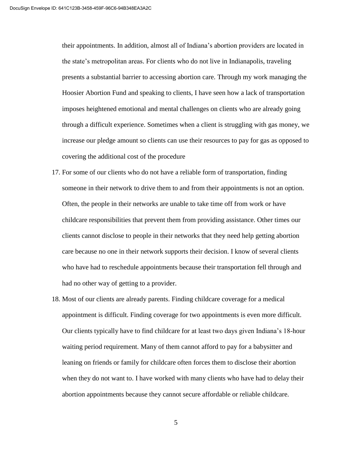their appointments. In addition, almost all of Indiana's abortion providers are located in the state's metropolitan areas. For clients who do not live in Indianapolis, traveling presents a substantial barrier to accessing abortion care. Through my work managing the Hoosier Abortion Fund and speaking to clients, I have seen how a lack of transportation imposes heightened emotional and mental challenges on clients who are already going through a difficult experience. Sometimes when a client is struggling with gas money, we increase our pledge amount so clients can use their resources to pay for gas as opposed to covering the additional cost of the procedure

- 17. For some of our clients who do not have a reliable form of transportation, finding someone in their network to drive them to and from their appointments is not an option. Often, the people in their networks are unable to take time off from work or have childcare responsibilities that prevent them from providing assistance. Other times our clients cannot disclose to people in their networks that they need help getting abortion care because no one in their network supports their decision. I know of several clients who have had to reschedule appointments because their transportation fell through and had no other way of getting to a provider.
- 18. Most of our clients are already parents. Finding childcare coverage for a medical appointment is difficult. Finding coverage for two appointments is even more difficult. Our clients typically have to find childcare for at least two days given Indiana's 18-hour waiting period requirement. Many of them cannot afford to pay for a babysitter and leaning on friends or family for childcare often forces them to disclose their abortion when they do not want to. I have worked with many clients who have had to delay their abortion appointments because they cannot secure affordable or reliable childcare.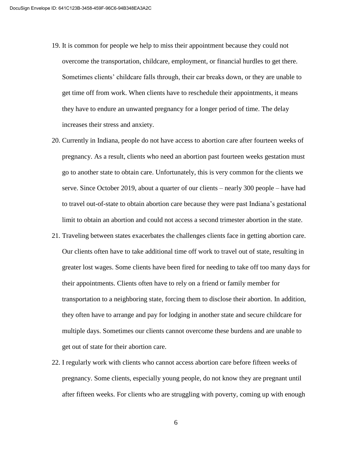- 19. It is common for people we help to miss their appointment because they could not overcome the transportation, childcare, employment, or financial hurdles to get there. Sometimes clients' childcare falls through, their car breaks down, or they are unable to get time off from work. When clients have to reschedule their appointments, it means they have to endure an unwanted pregnancy for a longer period of time. The delay increases their stress and anxiety.
- 20. Currently in Indiana, people do not have access to abortion care after fourteen weeks of pregnancy. As a result, clients who need an abortion past fourteen weeks gestation must go to another state to obtain care. Unfortunately, this is very common for the clients we serve. Since October 2019, about a quarter of our clients – nearly 300 people – have had to travel out-of-state to obtain abortion care because they were past Indiana's gestational limit to obtain an abortion and could not access a second trimester abortion in the state.
- 21. Traveling between states exacerbates the challenges clients face in getting abortion care. Our clients often have to take additional time off work to travel out of state, resulting in greater lost wages. Some clients have been fired for needing to take off too many days for their appointments. Clients often have to rely on a friend or family member for transportation to a neighboring state, forcing them to disclose their abortion. In addition, they often have to arrange and pay for lodging in another state and secure childcare for multiple days. Sometimes our clients cannot overcome these burdens and are unable to get out of state for their abortion care.
- 22. I regularly work with clients who cannot access abortion care before fifteen weeks of pregnancy. Some clients, especially young people, do not know they are pregnant until after fifteen weeks. For clients who are struggling with poverty, coming up with enough